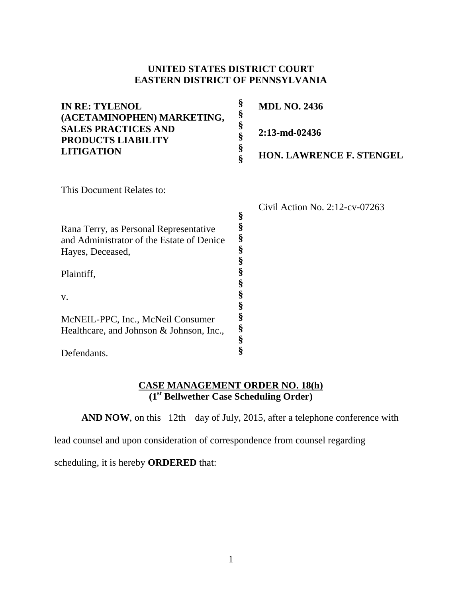## **UNITED STATES DISTRICT COURT EASTERN DISTRICT OF PENNSYLVANIA**

| <b>IN RE: TYLENOL</b><br>(ACETAMINOPHEN) MARKETING, | §<br>§ | <b>MDL NO. 2436</b>               |
|-----------------------------------------------------|--------|-----------------------------------|
| <b>SALES PRACTICES AND</b><br>PRODUCTS LIABILITY    | §<br>§ | 2:13-md-02436                     |
| <b>LITIGATION</b>                                   | §      | <b>HON. LAWRENCE F. STENGEL</b>   |
| This Document Relates to:                           |        |                                   |
|                                                     |        | Civil Action No. $2:12$ -cv-07263 |
|                                                     | §      |                                   |
| Rana Terry, as Personal Representative              |        |                                   |
| and Administrator of the Estate of Denice           | §      |                                   |
| Hayes, Deceased,                                    | §      |                                   |
|                                                     |        |                                   |
| Plaintiff,                                          |        |                                   |
|                                                     | §      |                                   |
| V.                                                  | §      |                                   |
|                                                     |        |                                   |
| McNEIL-PPC, Inc., McNeil Consumer                   |        |                                   |
| Healthcare, and Johnson & Johnson, Inc.,            | §      |                                   |
|                                                     | §      |                                   |

Defendants.

## **CASE MANAGEMENT ORDER NO. 18(h) (1st Bellwether Case Scheduling Order)**

**AND NOW**, on this 12th day of July, 2015, after a telephone conference with

**§**

lead counsel and upon consideration of correspondence from counsel regarding

scheduling, it is hereby **ORDERED** that: